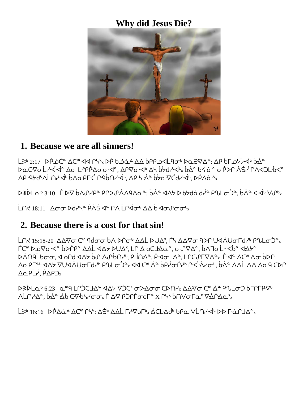## **Why did Jesus Die?**



#### **1. Because we are all sinners!**

L <sup>3</sup> 2:17 *>P d'* άζης στη ΑΔ Γής *ΣΡ Δ*ώ ένα ένα ένα τη αναφή διαθεία ένας ή διάση της είναι της είναι διάσης <mark></mark>��C∇σLץ·⊲·⊲ª Δσ LʷΡΡΔσσ·⊲ª, ΔΡ∇σ·⊲Þ Δק bלטץ·⊲بد bẠb4 σ̀ ¢ σΡ/ ΔΡ. ٩৮ ΔΑ) ΤΗ ΦΑΝ ΦΡΟΣΤΟΥ, ΑΡΑΣΦΕΙΣΑ, ΔΑΣΦΕΙΣΑ, ΔΑΣΦΕΙΣΑ, ΔΑΣΦΕΙΣΑ, ΔΑΣΦΕΙΣΑ, ΩΘ

ᐅᕒᐆᒪᓇᒃ 3:10 ᒦ ᐅᐌ ᑳᐃᔑᓯᑭᓐ ᑭᒋᐅᔑᐲᐃᑫᐎᓇᓐ: ᑳᐐᓐ ᐊᐎᔭ ᐅᑾᔭᑯᓈᑯᓰᓐ ᑭᔐᒪᓂᑑᓐ, ᑳᐐᓐ ᐊᐙᒡ ᐯᔑᒃ᙮

LN ₹18:11 Δσσ Ϸd Υ - PλŚ 4 ° ΓΛ LΓ 4σι ΔΔ b - 4σι Γσσι

## **2. Because there is a cost for that sin!**

LՈ 15:18-20 ΔΔ Δσ C η θάσσ υλ DΓ στη ΔΔL DU Δ, ΓΗ ΔΔ Δσ Ο ΦΟ ΠΟΛΙΟ ΤΗ ΡΟΙΟΎ, ᒦᑕᔥ ᐅᓄᐌᓂᐗᓐ ᑳᐅᒌᑭᓐ ᐃᐃᒫ ᐊᐎᔭ ᐅᑌᐃᕽ, ᒪᒋ ᐃᓀᑕᒧᐎᓇᓐ, ᓂᔑᐌᐎᓐ, ᑳᐱᒣᓂᒫᒡ ᐸᑳᓐ ᐊᐎᔭᓐ ᐅᐐᑎᑫᒫᑲᓂᓂ, ᐊᓅᒋᑯ ᐊᐎᔭ ᑳᔑ ᐱᔑᒀᑎᓯᒡ, ᑭᒨᑎᐎᓐ, ᑮᐗᓂᒧᐎᓐ, ᒪᒋᑕᔑᒥᐌᐎᓐ᙮ ᒦᐗᓐ ᐃᑕᔥ ᐃᓂ ᑳᐅᒋ ΔQPΓª ϤΔΣ VUϤΛUσΓdґ PՂLσϽªx ϤϤ CͲ Δ - bΡ σΓΥ Ρ « ΔΥσ", bΔ - ΔΔL ΔΔ ΔQ Ο CDΓ ΔQ PL', PAP D<sub>x</sub>

ᐅᕒᐆᒪᓇᒃ 6:23 ᓇᔥᑫ ᒪᒋᑑᑕᒧᐎᓐ ᐊᐎᔭ ᐁᑑᑕᕽ ᓂᐳᐎᓂᓂ ᑕᐅᑎᓯ᙮ ᐃᐃᐌᓂ ᑕᔥ ᐐᓐ ᑭᔐᒪᓂᑑ ᑳᒥᒋᒦᑭᐌᒡ ΛLՈΥΔ<sup>α</sup>, ὁΔ<sup>ά</sup> Δῢ Ϲ∇·ϸϞϒσσχΓΔϘ ϷϽՐΓσάΓ<sup>α</sup> Χ ՐϞ<sup>·</sup> ὁΠΛσΓα<sup>χ</sup> ∇ΔΓΔαχ

L 3<sup>6</sup> 16:16 ዾቦል የፊል ΔCº ቦ55: ΔŚΦ ΔΔL ΓΥΨΟΓΟ, ΔΌΓΙΔΟ ΝΑΘΏΝ ΝΑ ΤΗ ΓΟΥ ΤΗ ΔΟΥ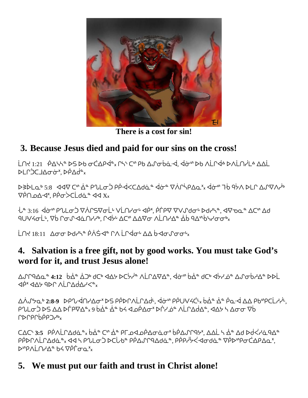

**There is a cost for sin!**

# **3. Because Jesus died and paid for our sins on the cross!**

LՈ + 1:21 <sup>0</sup> ΦΔΥ ΤΟ Β ΦΘ ΦΟ ΦΘ ΦΘ ΦΘ ΦΘ ΦΘ ΔΑ ΦΘ ΦΘ ΦΘ ΦΘ ΦΘ ΔΑ ΦΘ ΦΟ ΔΑ ΦΟΛΑ ΦΟΛΑ ΦΟΛΑ ΦΟΛΑ ΦΟΛΑ ΦΟΛΑ ΦΟΛΑ ΦΟ ᐅᒪᒋᑑᑕᒧᐎᓂᓃᕽ, ᐅᑮᐃᑰᓐ᙮

DSDLαb 5:8 447 C" Δ P P Lσ D PP < < CΔdα "4σ " V A P Δα" 4σ" 76 95Λ D L Γ Δ Π Α Π  $\nabla \dot{\rho} \cap \rho \wedge \mathcal{A}^x$ ,  $\rho \dot{\rho} \nabla \dot{\rho} \cap \dot{\rho} \nabla^x$ 

ᒞᓐ 3:16 ᐋᓃᔥ ᑭᔐᒪᓂᑑ ᐁᐲᒋᔕᐌᓂᒫᒡ ᐯᒫᑎᓯᓂᒡ ᐊᑮᕽ, ᑮᒦᑭᐌ ᐁᐯᔑᑯᓂᒡ ᐅᑯᓯᓴᓐ, ᐊᐌᓀᓇᓐ ᐃᑕᔥ ᐃᑯ <u>٩UVሩσLη V</u>o Γσιης ΑάΠΥΡ, ΓΑΣΗΔΟΎ ΔΑΣΟ ΛΕΠΥΔΕ ΔΟ ΑΔηριστή

i Nt 18:11  $\Lambda$ ơơ Ddi<sup>n</sup> PẢ Sta PA LO dơ VÀ hơn loan n

## **4. Salvation is a free gift, not by good works. You must take God's word for it, and trust Jesus alone!**

ᐃᔑᒋᑫᐎᓇᓐ **4:12** ᑳᐐᓐ ᐄᑐᒃ ᑯᑕᒃ ᐊᐎᔭ ᐅᑕᔮᓰᓐ ᐱᒫᒋᐃᐌᐎᓐ, ᐋᓃᔥ ᑳᐐᓐ ᑯᑕᒃ ᐊᔮᓯᓅᓐ ᐃᔑᓂᑳᓱᐎᓐ ᐅᐅᒫ UÒ √dÀ √da da vient vient vie

ᐃᐲᔑᔭᓇᒃ **2:8-9** ᐅᑭᔐᐙᑎᓯᐎᓂᕽ ᐅᔕ ᑭᑮᐅᒋᐱᒫᒋᐃᑰᒻ, ᐋᓃᔥ ᑭᑮᑌᐺᔦᑖᒻ᙮ ᑳᐐᓐ ᐐᓐ ᑮᓇᐙ ᐃᐃ ᑭᑲᔥᑭᑕᒫᓱᓰᒻ, <del></del> የ∿LσϽ ⊳S ΔΔ ⊳Γ̓Ρ∇Δª<sub>×</sub>9 ὁΔ̓ª Δ̓≏ ὁ Ϥ Δ Ϥ ΔΡ̓Δσ<sup>x</sup> ⊳Γ̓Υ δª ΛLՐΔd̓Δª. ϤΔሃ Կ Δσσ ∇ἑ ∩∩∩∩∩∩∩

<u></u> CΔC, 3:5 ΡΡΛLΓΔdά • « bά • Cη ά • ΡΓρ<ΙρΡΔσάσ<sup>×</sup> bΡΔΛΓ9Σ, ΔΔL η ά • Δd Dd</Ιά 9Δ • PPDΓΛLΓΔda®x << Η PULσJ DCUb® ΡΡΔJΓΑΔda®, ΡΡΑ-ΗΣΚΑΦάΩ® ∇ΡDΨΡσCΔΡΔα ᐅᔥᑭᐱᒫᑎᓯᐎᓐ ᑲᔦ ᐁᑮᒦᓂᓇᕽ᙮

## **5. We must put our faith and trust in Christ alone!**